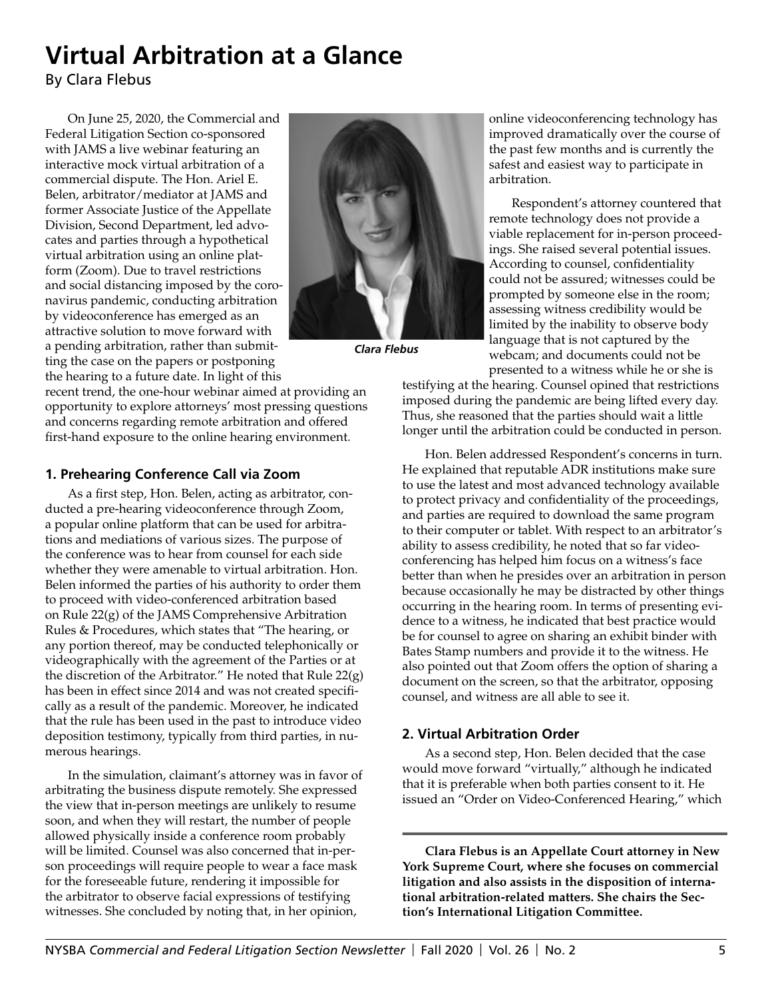## **Virtual Arbitration at a Glance**

By Clara Flebus

On June 25, 2020, the Commercial and Federal Litigation Section co-sponsored with JAMS a live webinar featuring an interactive mock virtual arbitration of a commercial dispute. The Hon. Ariel E. Belen, arbitrator/mediator at JAMS and former Associate Justice of the Appellate Division, Second Department, led advocates and parties through a hypothetical virtual arbitration using an online platform (Zoom). Due to travel restrictions and social distancing imposed by the coronavirus pandemic, conducting arbitration by videoconference has emerged as an attractive solution to move forward with a pending arbitration, rather than submitting the case on the papers or postponing the hearing to a future date. In light of this



*Clara Flebus*

recent trend, the one-hour webinar aimed at providing an opportunity to explore attorneys' most pressing questions and concerns regarding remote arbitration and offered first-hand exposure to the online hearing environment.

## **1. Prehearing Conference Call via Zoom**

As a first step, Hon. Belen, acting as arbitrator, conducted a pre-hearing videoconference through Zoom, a popular online platform that can be used for arbitrations and mediations of various sizes. The purpose of the conference was to hear from counsel for each side whether they were amenable to virtual arbitration. Hon. Belen informed the parties of his authority to order them to proceed with video-conferenced arbitration based on Rule 22(g) of the JAMS Comprehensive Arbitration Rules & Procedures, which states that "The hearing, or any portion thereof, may be conducted telephonically or videographically with the agreement of the Parties or at the discretion of the Arbitrator." He noted that Rule 22(g) has been in effect since 2014 and was not created specifically as a result of the pandemic. Moreover, he indicated that the rule has been used in the past to introduce video deposition testimony, typically from third parties, in numerous hearings.

In the simulation, claimant's attorney was in favor of arbitrating the business dispute remotely. She expressed the view that in-person meetings are unlikely to resume soon, and when they will restart, the number of people allowed physically inside a conference room probably will be limited. Counsel was also concerned that in-person proceedings will require people to wear a face mask for the foreseeable future, rendering it impossible for the arbitrator to observe facial expressions of testifying witnesses. She concluded by noting that, in her opinion,

online videoconferencing technology has improved dramatically over the course of the past few months and is currently the safest and easiest way to participate in arbitration.

Respondent's attorney countered that remote technology does not provide a viable replacement for in-person proceedings. She raised several potential issues. According to counsel, confidentiality could not be assured; witnesses could be prompted by someone else in the room; assessing witness credibility would be limited by the inability to observe body language that is not captured by the webcam; and documents could not be presented to a witness while he or she is

testifying at the hearing. Counsel opined that restrictions imposed during the pandemic are being lifted every day. Thus, she reasoned that the parties should wait a little longer until the arbitration could be conducted in person.

Hon. Belen addressed Respondent's concerns in turn. He explained that reputable ADR institutions make sure to use the latest and most advanced technology available to protect privacy and confidentiality of the proceedings, and parties are required to download the same program to their computer or tablet. With respect to an arbitrator's ability to assess credibility, he noted that so far videoconferencing has helped him focus on a witness's face better than when he presides over an arbitration in person because occasionally he may be distracted by other things occurring in the hearing room. In terms of presenting evidence to a witness, he indicated that best practice would be for counsel to agree on sharing an exhibit binder with Bates Stamp numbers and provide it to the witness. He also pointed out that Zoom offers the option of sharing a document on the screen, so that the arbitrator, opposing counsel, and witness are all able to see it.

## **2. Virtual Arbitration Order**

As a second step, Hon. Belen decided that the case would move forward "virtually," although he indicated that it is preferable when both parties consent to it. He issued an "Order on Video-Conferenced Hearing," which

**Clara Flebus is an Appellate Court attorney in New York Supreme Court, where she focuses on commercial litigation and also assists in the disposition of international arbitration-related matters. She chairs the Section's International Litigation Committee.**